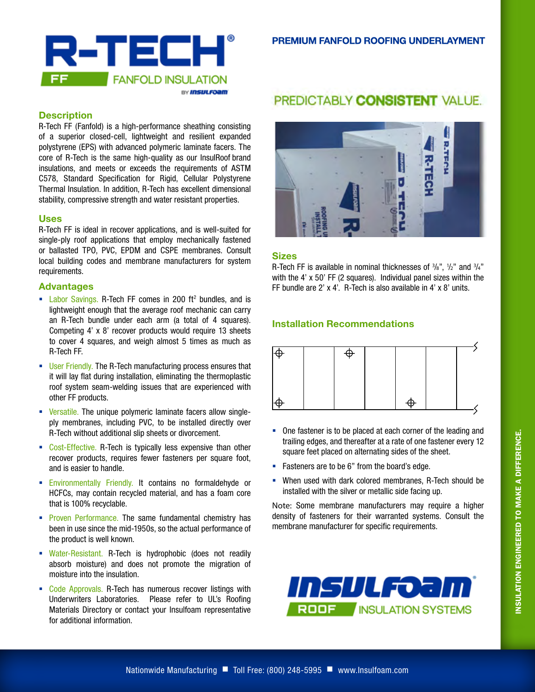

#### **Description**

R-Tech FF (Fanfold) is a high-performance sheathing consisting of a superior closed-cell, lightweight and resilient expanded polystyrene (EPS) with advanced polymeric laminate facers. The core of R-Tech is the same high-quality as our InsulRoof brand insulations, and meets or exceeds the requirements of ASTM C578, Standard Specification for Rigid, Cellular Polystyrene Thermal Insulation. In addition, R-Tech has excellent dimensional stability, compressive strength and water resistant properties.

#### **Uses**

R-Tech FF is ideal in recover applications, and is well-suited for single-ply roof applications that employ mechanically fastened or ballasted TPO, PVC, EPDM and CSPE membranes. Consult local building codes and membrane manufacturers for system requirements.

#### **Advantages**

- **Labor Savings. R-Tech FF comes in 200 ft<sup>2</sup> bundles, and is** lightweight enough that the average roof mechanic can carry an R-Tech bundle under each arm (a total of 4 squares). Competing 4' x 8' recover products would require 13 sheets to cover 4 squares, and weigh almost 5 times as much as R-Tech FF.
- **User Friendly. The R-Tech manufacturing process ensures that** it will lay flat during installation, eliminating the thermoplastic roof system seam-welding issues that are experienced with other FF products.
- **EXECTE:** Versatile. The unique polymeric laminate facers allow singleply membranes, including PVC, to be installed directly over R-Tech without additional slip sheets or divorcement.
- Cost-Effective. R-Tech is typically less expensive than other recover products, requires fewer fasteners per square foot, and is easier to handle.
- **Environmentally Friendly. It contains no formaldehyde or** HCFCs, may contain recycled material, and has a foam core that is 100% recyclable.
- **Proven Performance. The same fundamental chemistry has** been in use since the mid-1950s, so the actual performance of the product is well known.
- Water-Resistant. R-Tech is hydrophobic (does not readily absorb moisture) and does not promote the migration of moisture into the insulation.
- Code Approvals. R-Tech has numerous recover listings with Underwriters Laboratories. Please refer to UL's Roofing Materials Directory or contact your Insulfoam representative for additional information.

# PREDICTABLY CONSISTENT VALUE.



#### **Sizes**

R-Tech FF is available in nominal thicknesses of  $\frac{3}{8}$ ",  $\frac{1}{2}$ " and  $\frac{3}{4}$ " with the 4' x 50' FF (2 squares). Individual panel sizes within the FF bundle are 2' x 4'. R-Tech is also available in 4' x 8' units.

### **Installation Recommendations**



- One fastener is to be placed at each corner of the leading and trailing edges, and thereafter at a rate of one fastener every 12 square feet placed on alternating sides of the sheet.
- **Fasteners are to be 6" from the board's edge.**
- When used with dark colored membranes, R-Tech should be installed with the silver or metallic side facing up.

Note: Some membrane manufacturers may require a higher density of fasteners for their warranted systems. Consult the membrane manufacturer for specific requirements.